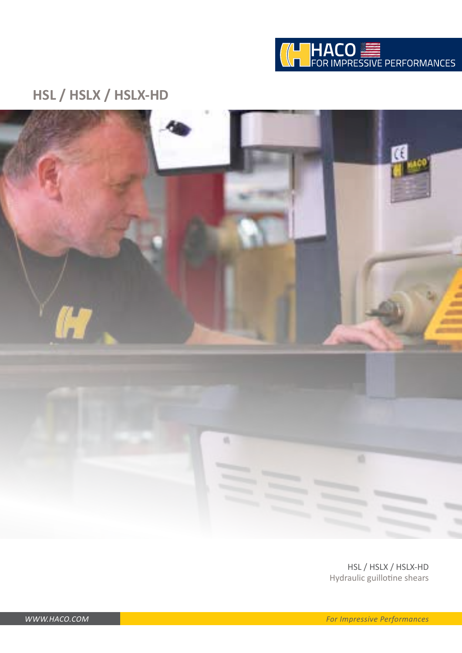

### **HSL / HSLX / HSLX-HD**



HSL / HSLX / HSLX-HD Hydraulic guillotine shears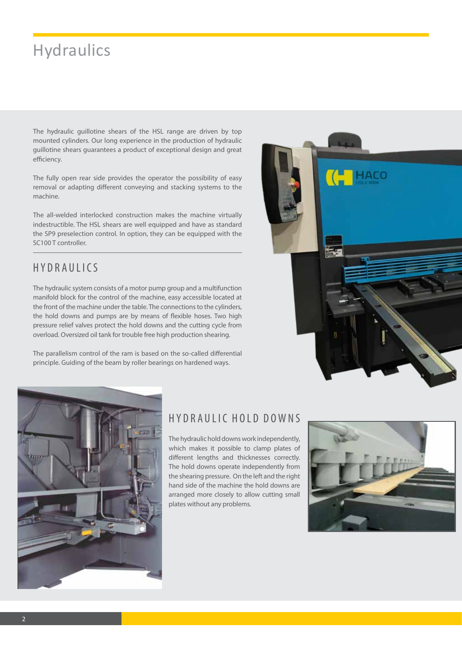# **Hydraulics**

The hydraulic guillotine shears of the HSL range are driven by top mounted cylinders. Our long experience in the production of hydraulic guillotine shears guarantees a product of exceptional design and great efficiency.

The fully open rear side provides the operator the possibility of easy removal or adapting different conveying and stacking systems to the machine.

The all-welded interlocked construction makes the machine virtually indestructible. The HSL shears are well equipped and have as standard the SP9 preselection control. In option, they can be equipped with the SC100 T controller.

### HYDRAULICS

The hydraulic system consists of a motor pump group and a multifunction manifold block for the control of the machine, easy accessible located at the front of the machine under the table. The connections to the cylinders, the hold downs and pumps are by means of flexible hoses. Two high pressure relief valves protect the hold downs and the cutting cycle from overload. Oversized oil tank for trouble free high production shearing.

The parallelism control of the ram is based on the so-called differential principle. Guiding of the beam by roller bearings on hardened ways.





### HYDRAULIC HOLD DOWNS

The hydraulic hold downs work independently, which makes it possible to clamp plates of different lengths and thicknesses correctly. The hold downs operate independently from the shearing pressure. On the left and the right hand side of the machine the hold downs are arranged more closely to allow cutting small plates without any problems.

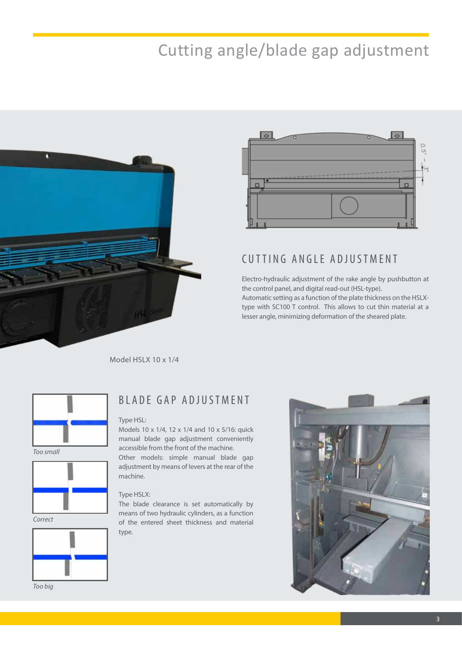# Cutting angle/blade gap adjustment





### CUTTING ANGLE ADJUSTMENT

Electro-hydraulic adjustment of the rake angle by pushbutton at the control panel, and digital read-out (HSL-type). Automatic setting as a function of the plate thickness on the HSLXtype with SC100 T control. This allows to cut thin material at a lesser angle, minimizing deformation of the sheared plate.

Model HSLX 10 x 1/4



*Too small*



*Correct*



*Too big*

### BLADE GAP ADJUSTMENT

#### Type HSL:

Models 10 x 1/4, 12 x 1/4 and 10 x 5/16: quick manual blade gap adjustment conveniently accessible from the front of the machine. Other models: simple manual blade gap adjustment by means of levers at the rear of the machine.

#### Type HSLX:

The blade clearance is set automatically by means of two hydraulic cylinders, as a function of the entered sheet thickness and material type.

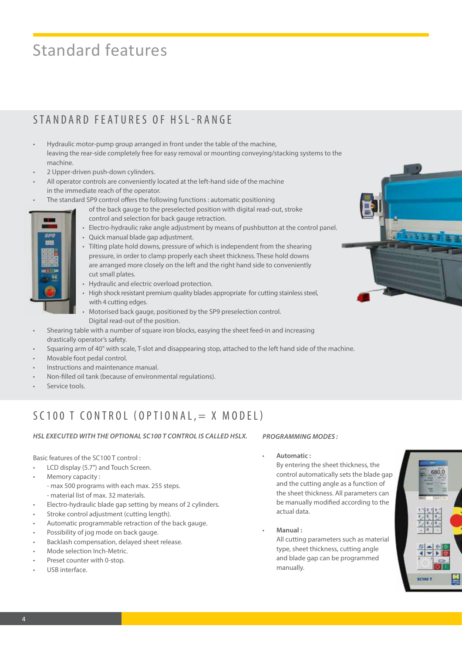# Standard features

### STANDARD FEATURES OF HSL-RANGE

- Hydraulic motor-pump group arranged in front under the table of the machine, leaving the rear-side completely free for easy removal or mounting conveying/stacking systems to the machine.
- 2 Upper-driven push-down cylinders.
- All operator controls are conveniently located at the left-hand side of the machine in the immediate reach of the operator.
- The standard SP9 control offers the following functions : automatic positioning
	- of the back gauge to the preselected position with digital read-out, stroke control and selection for back gauge retraction.
- 
- Electro-hydraulic rake angle adjustment by means of pushbutton at the control panel.
- Quick manual blade gap adjustment.
- Tilting plate hold downs, pressure of which is independent from the shearing pressure, in order to clamp properly each sheet thickness. These hold downs are arranged more closely on the left and the right hand side to conveniently cut small plates.
- Hydraulic and electric overload protection.
- High shock resistant premium quality blades appropriate for cutting stainless steel, with 4 cutting edges.
- Motorised back gauge, positioned by the SP9 preselection control. Digital read-out of the position.
- Shearing table with a number of square iron blocks, easying the sheet feed-in and increasing drastically operator's safety.
- Squaring arm of 40" with scale, T-slot and disappearing stop, attached to the left hand side of the machine.
- Movable foot pedal control.
- Instructions and maintenance manual.
- Non-filled oil tank (because of environmental regulations).
- Service tools.

### SC100 T CONTROL (OPTIONAL,  $=$  X MODEL)

*HSL EXECUTED WITH THE OPTIONAL SC100 T CONTROL IS CALLED HSLX.*

#### Basic features of the SC100 T control :

- LCD display (5.7") and Touch Screen.
- Memory capacity : - max 500 programs with each max. 255 steps. - material list of max. 32 materials.
- Electro-hydraulic blade gap setting by means of 2 cylinders.
- Stroke control adjustment (cutting length).
- Automatic programmable retraction of the back gauge.
- Possibility of jog mode on back gauge.
- Backlash compensation, delayed sheet release.
- Mode selection Inch-Metric.
- Preset counter with 0-stop.
- USB interface.

#### *PROGRAMMING MODES :*

#### • **Automatic :**

By entering the sheet thickness, the control automatically sets the blade gap and the cutting angle as a function of the sheet thickness. All parameters can be manually modified according to the actual data.

• **Manual :**

All cutting parameters such as material type, sheet thickness, cutting angle and blade gap can be programmed manually.



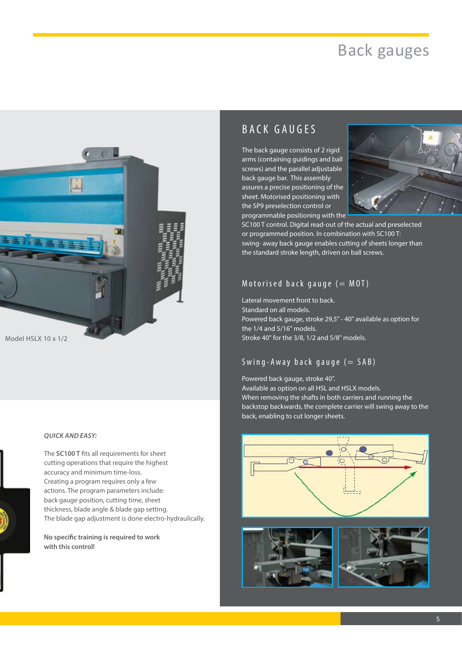# Back gauges



*QUICK AND EASY:*

The **SC100 T** fits all requirements for sheet cutting operations that require the highest accuracy and minimum time-loss. Creating a program requires only a few actions. The program parameters include: back gauge position, cutting time, sheet thickness, blade angle & blade gap setting. The blade gap adjustment is done electro-hydraulically.

**No specific training is required to work with this control!**

### BACK GAUGES

The back gauge consists of 2 rigid arms (containing guidings and ball screws) and the parallel adjustable back gauge bar. This assembly assures a precise positioning of the sheet. Motorised positioning with the SP9 preselection control or programmable positioning with the



SC100 T control. Digital read-out of the actual and preselected or programmed position. In combination with SC100 T: swing- away back gauge enables cutting of sheets longer than the standard stroke length, driven on ball screws.

#### Motorised back gauge  $(= MOT)$

Lateral movement front to back. Standard on all models. Powered back gauge, stroke 29,5" - 40" available as option for the 1/4 and 5/16" models. Stroke 40" for the 3/8, 1/2 and 5/8" models.

### Swing-Away back gauge  $(= SAB)$

Powered back gauge, stroke 40". Available as option on all HSL and HSLX models. When removing the shafts in both carriers and running the backstop backwards, the complete carrier will swing away to the back, enabling to cut longer sheets.





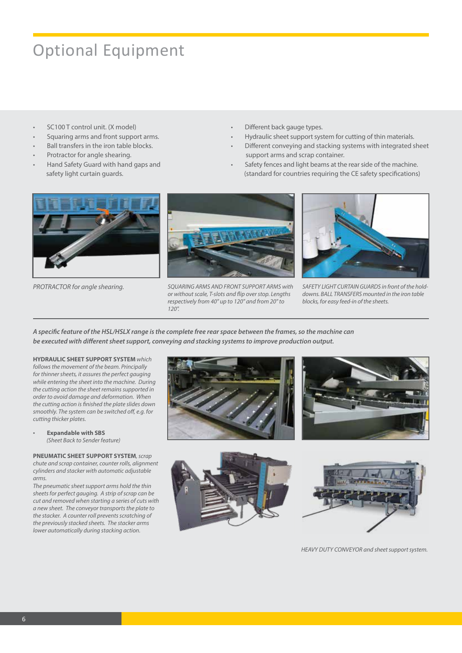# Optional Equipment

- SC100 T control unit. (X model)
- Squaring arms and front support arms.
- Ball transfers in the iron table blocks.
- Protractor for angle shearing.
- Hand Safety Guard with hand gaps and safety light curtain guards.
- Different back gauge types.
- Hydraulic sheet support system for cutting of thin materials.
- Different conveying and stacking systems with integrated sheet support arms and scrap container.
- Safety fences and light beams at the rear side of the machine. (standard for countries requiring the CE safety specifications)





PROTRACTOR for angle shearing. *SQUARING ARMS AND FRONT SUPPORT ARMS with* SAFETY LIGHT CURTAIN GUARDS in front of the hold*or without scale, T-slots and flip over stop. Lengths respectively from 40" up to 120" and from 20" to 120".*



*downs. BALL TRANSFERS mounted in the iron table blocks, for easy feed-in of the sheets.*

*A specific feature of the HSL/HSLX range is the complete free rear space between the frames, so the machine can be executed with different sheet support, conveying and stacking systems to improve production output.*

**HYDRAULIC SHEET SUPPORT SYSTEM** *which follows the movement of the beam. Principally for thinner sheets, it assures the perfect gauging while entering the sheet into the machine. During the cutting action the sheet remains supported in order to avoid damage and deformation. When the cutting action is finished the plate slides down smoothly. The system can be switched off, e.g. for cutting thicker plates.*

• **Expandable with SBS**  *(Sheet Back to Sender feature)*

**PNEUMATIC SHEET SUPPORT SYSTEM***, scrap chute and scrap container, counter rolls, alignment cylinders and stacker with automatic adjustable arms.*

*The pneumatic sheet support arms hold the thin sheets for perfect gauging. A strip of scrap can be cut and removed when starting a series of cuts with a new sheet. The conveyor transports the plate to the stacker. A counter roll prevents scratching of the previously stacked sheets. The stacker arms lower automatically during stacking action.*









*HEAVY DUTY CONVEYOR and sheet support system.*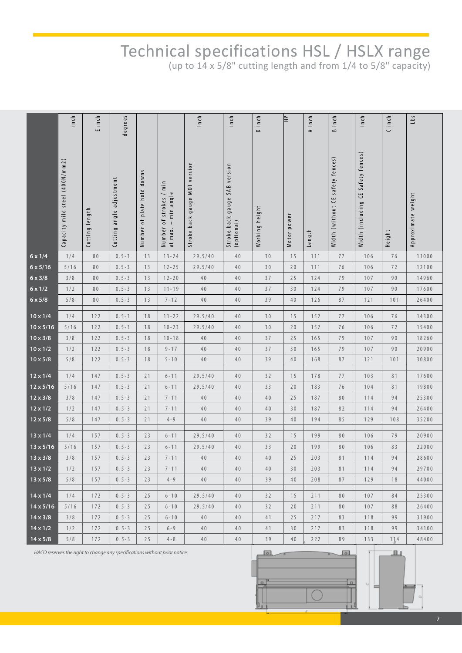# Technical specifications HSL / HSLX range

(up to 14 x 5/8" cutting length and from 1/4 to 5/8" capacity)

|                  | inch                           | E inch         | degrees                                                                    |                            |                                                               | inch                             | inch                                        | D inch         | 을           | A inch         | B inch                           | inch                               | C inch | Lb <sub>5</sub>    |
|------------------|--------------------------------|----------------|----------------------------------------------------------------------------|----------------------------|---------------------------------------------------------------|----------------------------------|---------------------------------------------|----------------|-------------|----------------|----------------------------------|------------------------------------|--------|--------------------|
|                  | Capacity mild steel (400N/mm2) | Cutting length | Cutting angle adjustment                                                   | Number of plate hold downs | Number of strokes / min<br>at max. – min angle<br>- min angle | gauge MOT version<br>Stroke back | Stroke back gauge SAB version<br>(optional) | Working height | Motor power | Length         | Width (without CE safety fences) | Width (including CE Safety fences) | Height | Approximate weight |
| $6 \times 1/4$   | 1/4                            | 80             | $0.5 - 3$                                                                  | 13                         | $13 - 24$                                                     | 29.5/40                          | 40                                          | 30             | 15          | 111            | 77                               | 106                                | 76     | 11000              |
| $6 \times 5/16$  | $5/16$                         | 80             | $0.5 - 3$                                                                  | 13                         | $12 - 25$                                                     | 29.5/40                          | 40                                          | 30             | 20          | 111            | 76                               | 106                                | 72     | 12100              |
| $6 \times 3/8$   | 3/8                            | 80             | $0.5 - 3$                                                                  | 13                         | $12 - 20$                                                     | 40                               | 40                                          | 37             | 25          | 124            | 79                               | 107                                | 90     | 14960              |
| $6 \times 1/2$   | 1/2                            | 80             | $0.5 - 3$                                                                  | 13                         | $11 - 19$                                                     | $40$                             | 40                                          | 37             | 30          | 124            | 79                               | 107                                | 90     | 17600              |
| $6 \times 5/8$   | 5/8                            | 80             | $0.5 - 3$                                                                  | 13                         | $7 - 12$                                                      | $40$                             | 40                                          | 39             | 40          | 126            | 87                               | 121                                | 101    | 26400              |
| $10 \times 1/4$  | 1/4                            | 122            | $0.5 - 3$                                                                  | 18                         | $11 - 22$                                                     | 29.5/40                          | 40                                          | 30             | 15          | 152            | 77                               | 106                                | 76     | 14300              |
| $10 \times 5/16$ | $5/16$                         | 122            | $0.5 - 3$                                                                  | 18                         | $10 - 23$                                                     | 29.5/40                          | 40                                          | 30             | 20          | 152            | 76                               | 106                                | 72     | 15400              |
| $10 \times 3/8$  | 3/8                            | 122            | $0.5 - 3$                                                                  | 18                         | $10 - 18$                                                     | 40                               | 40                                          | 37             | 25          | 165            | 79                               | 107                                | 90     | 18260              |
| $10 \times 1/2$  | 1/2                            | 122            | $0.5 - 3$                                                                  | 18                         | $9 - 17$                                                      | $40$                             | 40                                          | 37             | 30          | 165            | 79                               | 107                                | 90     | 20900              |
| $10 \times 5/8$  | 5/8                            | 122            | $0.5 - 3$                                                                  | 18                         | $5 - 10$                                                      | 40                               | 40                                          | 39             | 40          | 168            | 87                               | 121                                | 101    | 30800              |
| $12 \times 1/4$  | 1/4                            | 147            | $0.5 - 3$                                                                  | 21                         | $6 - 11$                                                      | 29.5/40                          | 40                                          | 32             | 15          | 178            | 77                               | 103                                | 81     | 17600              |
| $12 \times 5/16$ | $5/16$                         | 147            | $0.5 - 3$                                                                  | 21                         | $6 - 11$                                                      | 29.5/40                          | 40                                          | 33             | 20          | 183            | 76                               | 104                                | 81     | 19800              |
| $12 \times 3/8$  | 3/8                            | 147            | $0.5 - 3$                                                                  | 21                         | $7 - 11$                                                      | 40                               | 40                                          | 40             | 25          | 187            | 80                               | 114                                | 94     | 25300              |
| $12 \times 1/2$  | 1/2                            | 147            | $0.5 - 3$                                                                  | 21                         | $7 - 11$                                                      | 40                               | 40                                          | 40             | 30          | 187            | 82                               | 114                                | 94     | 26400              |
| $12 \times 5/8$  | 5/8                            | 147            | $0.5 - 3$                                                                  | 21                         | $4 - 9$                                                       | 40                               | 40                                          | 39             | 40          | 194            | 85                               | 129                                | 108    | 35200              |
| $13 \times 1/4$  | 1/4                            | 157            | $0.5 - 3$                                                                  | 23                         | $6 - 11$                                                      | 29.5/40                          | 40                                          | 32             | 15          | 199            | 80                               | 106                                | 79     | 20900              |
| $13 \times 5/16$ | $5/16$                         | 157            | $0.5 - 3$                                                                  | 23                         | $6 - 11$                                                      | 29.5/40                          | 40                                          | 33             | 20          | 199            | 80                               | 106                                | 83     | 22000              |
| $13 \times 3/8$  | 3/8                            | 157            | $0.5 - 3$                                                                  | 23                         | $7 - 11$                                                      | $40$                             | 40                                          | 40             | 25          | 203            | 81                               | 114                                | 94     | 28600              |
| $13 \times 1/2$  | 1/2                            | 157            | $0.5 - 3$                                                                  | 23                         | $7 - 11$                                                      | 40                               | 40                                          | 40             | 30          | 203            | 81                               | 114                                | 94     | 29700              |
| $13 \times 5/8$  | 5/8                            | 157            | $0.5 - 3$                                                                  | 23                         | $4 - 9$                                                       | 40                               | 40                                          | 39             | 40          | 208            | 87                               | 129                                | 18     | 44000              |
| $14 \times 1/4$  | 1/4                            | 172            | $0.5 - 3$                                                                  | 25                         | $6 - 10$                                                      | 29.5/40                          | 40                                          | 32             | 15          | 211            | 80                               | 107                                | 84     | 25300              |
| $14 \times 5/16$ | 5/16                           | 172            | $0.5 - 3$                                                                  | 25                         | $6 - 10$                                                      | 29.5/40                          | 40                                          | 32             | 20          | 211            | 80                               | 107                                | 88     | 26400              |
| $14 \times 3/8$  | 3/8                            | 172            | $0.5 - 3$                                                                  | 25                         | $6 - 10$                                                      | 40                               | 40                                          | 41             | 25          | 217            | 83                               | 118                                | 99     | 31900              |
| $14 \times 1/2$  | 1/2                            | 172            | $0.5 - 3$                                                                  | 25                         | $6 - 9$                                                       | 40                               | 40                                          | 41             | 30          | 217            | 83                               | 118                                | 99     | 34100              |
| $14 \times 5/8$  | 5/8                            | 172            | $0.5 - 3$                                                                  | 25                         | $4 - 8$                                                       | 40                               | 40                                          | 39             | 40          | 222            | 89                               | 133                                | 114    | 48400              |
|                  |                                |                | HACO reserves the right to change any specifications without prior notice. |                            |                                                               | $\circ$                          |                                             |                | $\circ$     | $\overline{Y}$ | ∐ll s                            |                                    |        |                    |

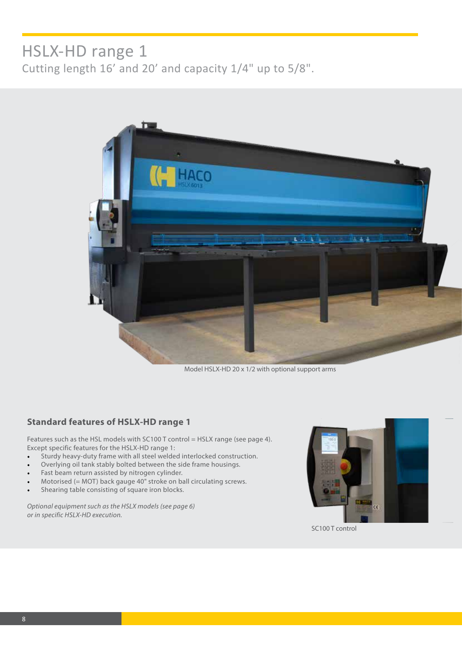### HSLX-HD range 1 Cutting length 16' and 20' and capacity 1/4" up to 5/8".



Model HSLX-HD 20 x 1/2 with optional support arms

#### **Standard features of HSLX-HD range 1**

Features such as the HSL models with SC100 T control = HSLX range (see page 4). Except specific features for the HSLX-HD range 1:

- Sturdy heavy-duty frame with all steel welded interlocked construction.
- Overlying oil tank stably bolted between the side frame housings.
- Fast beam return assisted by nitrogen cylinder.
- Motorised (= MOT) back gauge  $40^{\degree}$  stroke on ball circulating screws.
- Shearing table consisting of square iron blocks.

*Optional equipment such as the HSLX models (see page 6) or in specific HSLX-HD execution.*



SC100 T control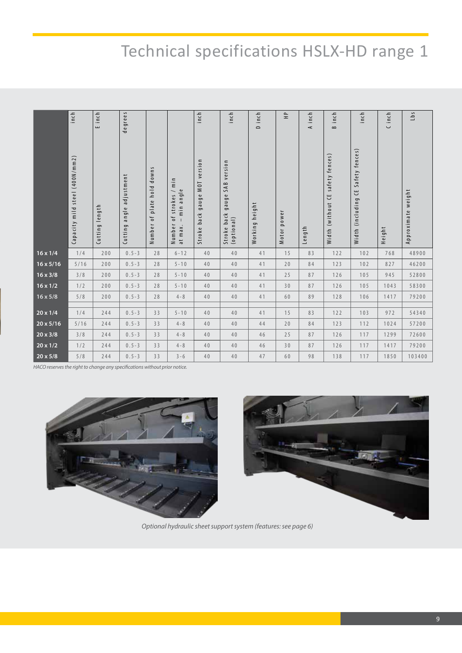# Technical specifications HSLX-HD range 1

|                  | inch                           | Einch          | degrees                        |                            |                                                                            | inch                                      | inch                                              | D inch            | $\hat{\Xi}$                       | A inch | inch<br>$\approx$                      | inch                                  | C inch | L b s              |
|------------------|--------------------------------|----------------|--------------------------------|----------------------------|----------------------------------------------------------------------------|-------------------------------------------|---------------------------------------------------|-------------------|-----------------------------------|--------|----------------------------------------|---------------------------------------|--------|--------------------|
|                  | Capacity mild steel (400N/mm2) | Cutting length | adjustment<br>angle<br>Cutting | Number of plate hold downs | /min<br>min angle<br>Number of strokes<br>at max. – min angl<br>$\bigcirc$ | version<br>NOT<br>gauge<br>back<br>Stroke | SAB version<br>gauge<br>Stroke back<br>(optional) | height<br>Working | $\tilde{\mathbf{e}}$<br>Motor pow | Length | safety fences)<br>٣,<br>Width (without | CE Safety fences)<br>Width (including | Height | Approximate weight |
| $16 \times 1/4$  | 1/4                            | 200            | $0.5 - 3$                      | 28                         | $6 - 12$                                                                   | 40                                        | 40                                                | 41                | 15                                | 83     | 122                                    | 102                                   | 768    | 48900              |
| $16 \times 5/16$ | 5/16                           | 200            | $0.5 - 3$                      | 28                         | $5 - 10$                                                                   | 40                                        | 40                                                | 41                | 20                                | 84     | 123                                    | 102                                   | 827    | 46200              |
| $16 \times 3/8$  | 3/8                            | 200            | $0.5 - 3$                      | 28                         | $5 - 10$                                                                   | 40                                        | 40                                                | 41                | 25                                | 87     | 126                                    | 105                                   | 945    | 52800              |
| $16 \times 1/2$  | 1/2                            | 200            | $0.5 - 3$                      | 28                         | $5 - 10$                                                                   | 40                                        | 40                                                | 41                | 30                                | 87     | 126                                    | 105                                   | 1043   | 58300              |
| $16 \times 5/8$  | 5/8                            | 200            | $0.5 - 3$                      | 28                         | $4 - 8$                                                                    | 40                                        | 40                                                | 41                | 60                                | 89     | 128                                    | 106                                   | 1417   | 79200              |
| $20 \times 1/4$  | 1/4                            | 244            | $0.5 - 3$                      | 33                         | $5 - 10$                                                                   | 40                                        | 40                                                | 41                | 15                                | 83     | 122                                    | 103                                   | 972    | 54340              |
| $20 \times 5/16$ | $5/16$                         | 244            | $0.5 - 3$                      | 33                         | $4 - 8$                                                                    | 40                                        | 40                                                | 44                | 20                                | 84     | 123                                    | 112                                   | 1024   | 57200              |
| $20 \times 3/8$  | 3/8                            | 244            | $0.5 - 3$                      | 33                         | $4 - 8$                                                                    | 40                                        | 40                                                | 46                | 25                                | 87     | 126                                    | 117                                   | 1299   | 72600              |
| $20 \times 1/2$  | 1/2                            | 244            | $0.5 - 3$                      | 33                         | $4 - 8$                                                                    | 40                                        | 40                                                | 46                | 30                                | 87     | 126                                    | 117                                   | 1417   | 79200              |
| $20 \times 5/8$  | 5/8                            | 244            | $0.5 - 3$                      | 33                         | $3 - 6$                                                                    | 40                                        | 40                                                | 47                | 60                                | 98     | 138                                    | 117                                   | 1850   | 103400             |



*Optional hydraulic sheet support system (features: see page 6)*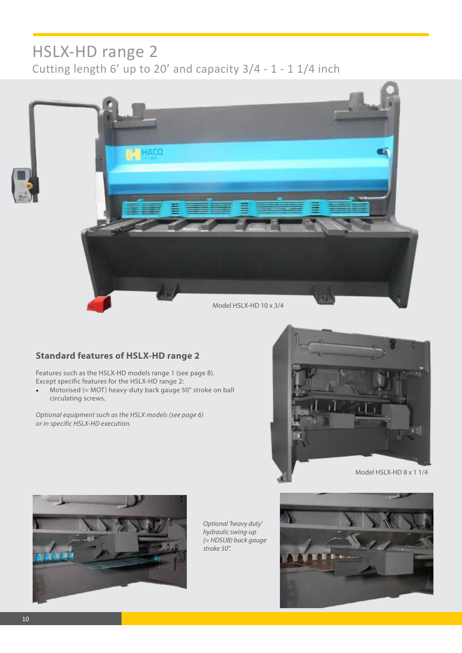### HSLX-HD range 2 Cutting length 6' up to 20' and capacity 3/4 - 1 - 1 1/4 inch



### **Standard features of HSLX-HD range 2**

Features such as the HSLX-HD models range 1 (see page 8). Except specific features for the HSLX-HD range 2:

• Motorised (= MOT) heavy-duty back gauge 50" stroke on ball circulating screws.

*Optional equipment such as the HSLX models (see page 6) or in specific HSLX-HD execution.*



Model HSLX-HD 8 x 1 1/4



*Optional 'heavy duty' hydraulic swing-up (= HDSUB) back gauge stroke 50".*

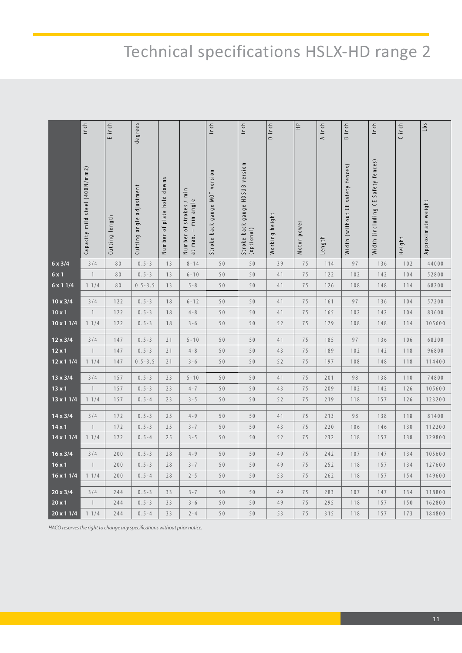# Technical specifications HSLX-HD range 2

|                                                                            | inch                           | E inch         | degrees                  |                            |                                                     | inch                          | inch                                          | D inch         | $\hat{\Xi}$ | A inch | B inch                           | $\mathsf{in}\,\mathsf{ch}$         | C inch | Lbs                |
|----------------------------------------------------------------------------|--------------------------------|----------------|--------------------------|----------------------------|-----------------------------------------------------|-------------------------------|-----------------------------------------------|----------------|-------------|--------|----------------------------------|------------------------------------|--------|--------------------|
|                                                                            | Capacity mild steel (400N/mm2) | Cutting length | Cutting angle adjustment | Number of plate hold downs | Number of strokes / min<br>$-$ min angle<br>at max. | Stroke back gauge MOT version | Stroke back gauge HDSUB version<br>(optional) | Working height | Motor power | Length | Width (without CE safety fences) | Width (including CE Safety fences) | Height | Approximate weight |
| $6 \times 3/4$                                                             | 3/4                            | 80             | $0.5 - 3$                | 13                         | $8 - 14$                                            | 50                            | 50                                            | 39             | $7\,5$      | 114    | 97                               | 136                                | 102    | 44000              |
| $6 \times 1$                                                               | $\mathbf{1}$                   | 80             | $0.5 - 3$                | 13                         | $6 - 10$                                            | 50                            | 50                                            | 41             | 75          | 122    | 102                              | 142                                | 104    | 52800              |
| 6 x 1 1/4                                                                  | 11/4                           | 80             | $0.5 - 3.5$              | 13                         | $5 - 8$                                             | 50                            | 50                                            | 41             | 75          | 126    | 108                              | 148                                | 114    | 68200              |
| $10 \times 3/4$                                                            | 3/4                            | 122            | $0.5 - 3$                | 18                         | $6 - 12$                                            | 50                            | 50                                            | 41             | 75          | 161    | 97                               | 136                                | 104    | 57200              |
| $10 \times 1$                                                              | $\overline{1}$                 | 122            | $0.5 - 3$                | 18                         | $4 - 8$                                             | 50                            | 50                                            | 41             | 75          | 165    | 102                              | 142                                | 104    | 83600              |
| $10 \times 11/4$                                                           | 11/4                           | 122            | $0.5 - 3$                | 18                         | $3 - 6$                                             | 50                            | 50                                            | 52             | 75          | 179    | 108                              | 148                                | 114    | 105600             |
| $12 \times 3/4$                                                            | 3/4                            | 147            | $0.5 - 3$                | 21                         | $5 - 10$                                            | 50                            | 50                                            | 41             | 75          | 185    | 97                               | 136                                | 106    | 68200              |
| $12 \times 1$                                                              | $\overline{1}$                 | 147            | $0.5 - 3$                | 21                         | $4 - 8$                                             | 50                            | 50                                            | 43             | 75          | 189    | 102                              | 142                                | 118    | 96800              |
| 12 x 1 1/4                                                                 | 11/4                           | 147            | $0.5 - 3.5$              | 21                         | $3 - 6$                                             | 50                            | 50                                            | 52             | 75          | 197    | 108                              | 148                                | 118    | 114400             |
|                                                                            |                                |                |                          |                            |                                                     |                               |                                               |                |             |        |                                  |                                    |        |                    |
| $13 \times 3/4$                                                            | 3/4                            | 157            | $0.5 - 3$                | 23                         | $5 - 10$                                            | 50                            | 50                                            | 41             | 75          | 201    | 98                               | 138                                | 110    | 74800              |
| $13 \times 1$                                                              | $\mathbf{1}$                   | 157            | $0.5 - 3$                | 23                         | $4 - 7$                                             | 50                            | 50                                            | 43             | 75          | 209    | 102                              | 142                                | 126    | 105600             |
| 13 x 1 1/4                                                                 | 11/4                           | 157            | $0.5 - 4$                | 23                         | $3 - 5$                                             | 50                            | 50                                            | 52             | 75          | 219    | 118                              | 157                                | 126    | 123200             |
| $14 \times 3/4$                                                            | 3/4                            | 172            | $0.5 - 3$                | 25                         | $4 - 9$                                             | 50                            | 50                                            | 41             | 75          | 213    | 98                               | 138                                | 118    | 81400              |
| $14 \times 1$                                                              | $\mathbf{1}$                   | 172            | $0.5 - 3$                | 25                         | $3 - 7$                                             | 50                            | $50$                                          | 43             | 75          | 220    | 106                              | 146                                | 130    | 112200             |
| $14 \times 11/4$                                                           | 11/4                           | 172            | $0.5 - 4$                | 25                         | $3 - 5$                                             | 50                            | 50                                            | 52             | 75          | 232    | 118                              | 157                                | 138    | 129800             |
| $16 \times 3/4$                                                            | 3/4                            | 200            | $0.5 - 3$                | 28                         | $4 - 9$                                             | 50                            | $50$                                          | 49             | 75          | 242    | 107                              | 147                                | 134    | 105600             |
| $16 \times 1$                                                              | $\mathbf{1}$                   | $200$          | $0.5 - 3$                | 28                         | $3 - 7$                                             | 50                            | $5\,0$                                        | 49             | 75          | 252    | 118                              | 157                                | 134    | 127600             |
| $16 \times 11/4$                                                           | 11/4                           | 200            | $0.5 - 4$                | 28                         | $2 - 5$                                             | 50                            | 50                                            | 53             | 75          | 262    | 118                              | 157                                | 154    | 149600             |
|                                                                            |                                |                |                          |                            |                                                     |                               |                                               |                |             |        |                                  |                                    |        |                    |
| $20 \times 3/4$                                                            | 3/4                            | 244            | $0.5 - 3$                | 33                         | $3 - 7$                                             | 50                            | 50                                            | 49             | 75          | 283    | 107                              | 147                                | 134    | 118800             |
| $20 \times 1$                                                              | $\overline{1}$                 | 244            | $0.5 - 3$                | 33                         | $3 - 6$                                             | 50                            | 50                                            | 49             | 75          | 295    | 118                              | 157                                | 150    | 162800             |
| $20 \times 11/4$                                                           | 11/4                           | 244            | $0.5 - 4$                | 33                         | $2 - 4$                                             | 50                            | 50                                            | 53             | 75          | 315    | 118                              | 157                                | 173    | 184800             |
| HACO reserves the right to change any specifications without prior notice. |                                |                |                          |                            |                                                     |                               |                                               |                |             |        |                                  |                                    |        |                    |